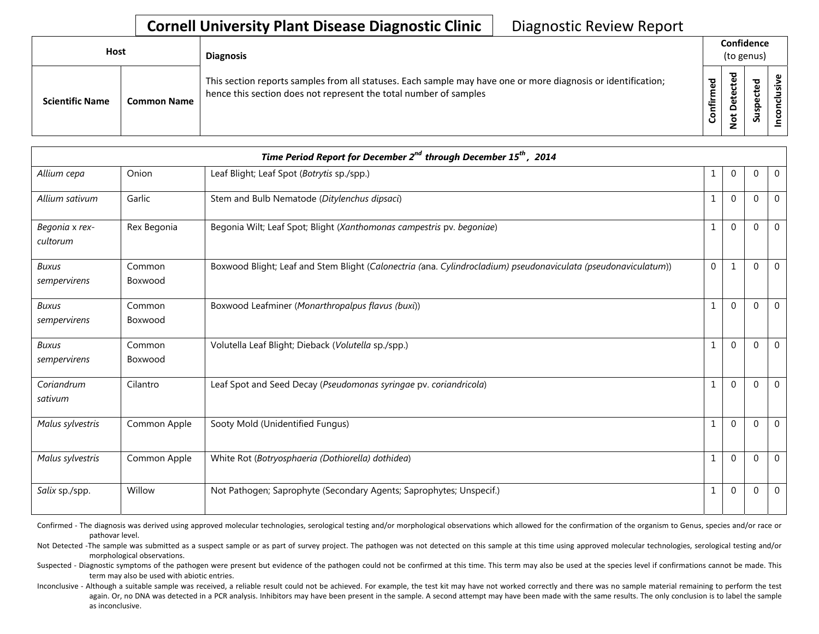## **Cornell University Plant Disease Diagnostic Clinic** | Diagnostic Review Report

| Host                   |                    | <b>Diagnosis</b>                                                                                                                                                                   |                      | Confidence<br>(to genus)                         |                              |        |  |  |
|------------------------|--------------------|------------------------------------------------------------------------------------------------------------------------------------------------------------------------------------|----------------------|--------------------------------------------------|------------------------------|--------|--|--|
| <b>Scientific Name</b> | <b>Common Name</b> | This section reports samples from all statuses. Each sample may have one or more diagnosis or identification;<br>hence this section does not represent the total number of samples | ਨੂ<br>ξ<br>tir<br>පි | ᅙ<br>$\omega$<br>ں<br>Φ<br>⊷<br>ω<br>۵<br>ى<br>؋ | ਠ<br>ீ<br>ن<br>ω<br>gsn<br>Ū | s<br>- |  |  |

| Time Period Report for December $2^{nd}$ through December 15 <sup>th</sup> , 2014 |                   |                                                                                                                |              |              |          |              |  |
|-----------------------------------------------------------------------------------|-------------------|----------------------------------------------------------------------------------------------------------------|--------------|--------------|----------|--------------|--|
| Allium cepa                                                                       | Onion             | Leaf Blight; Leaf Spot (Botrytis sp./spp.)                                                                     | 1            | $\Omega$     | 0        | $\mathbf 0$  |  |
| Allium sativum                                                                    | Garlic            | Stem and Bulb Nematode (Ditylenchus dipsaci)                                                                   | $\mathbf{1}$ | $\Omega$     | $\Omega$ | $\Omega$     |  |
| Begonia x rex-<br>cultorum                                                        | Rex Begonia       | Begonia Wilt; Leaf Spot; Blight (Xanthomonas campestris pv. begoniae)                                          | $\mathbf{1}$ | $\Omega$     | $\Omega$ | $\Omega$     |  |
| <b>Buxus</b><br>sempervirens                                                      | Common<br>Boxwood | Boxwood Blight; Leaf and Stem Blight (Calonectria (ana. Cylindrocladium) pseudonaviculata (pseudonaviculatum)) | $\mathbf 0$  | $\mathbf{1}$ | $\Omega$ | $\Omega$     |  |
| Buxus<br>sempervirens                                                             | Common<br>Boxwood | Boxwood Leafminer (Monarthropalpus flavus (buxi))                                                              | $\mathbf{1}$ | $\Omega$     | $\Omega$ | $\mathbf{0}$ |  |
| <b>Buxus</b><br>sempervirens                                                      | Common<br>Boxwood | Volutella Leaf Blight; Dieback (Volutella sp./spp.)                                                            | $\mathbf{1}$ | $\Omega$     | $\Omega$ | $\Omega$     |  |
| Coriandrum<br>sativum                                                             | Cilantro          | Leaf Spot and Seed Decay (Pseudomonas syringae pv. coriandricola)                                              | $\mathbf{1}$ | $\Omega$     | $\Omega$ | $\Omega$     |  |
| Malus sylvestris                                                                  | Common Apple      | Sooty Mold (Unidentified Fungus)                                                                               | $\mathbf{1}$ | $\Omega$     | 0        | $\Omega$     |  |
| Malus sylvestris                                                                  | Common Apple      | White Rot (Botryosphaeria (Dothiorella) dothidea)                                                              | 1            | $\Omega$     | $\Omega$ | $\Omega$     |  |
| Salix sp./spp.                                                                    | Willow            | Not Pathogen; Saprophyte (Secondary Agents; Saprophytes; Unspecif.)                                            | $\mathbf{1}$ | $\Omega$     | $\Omega$ | $\mathbf 0$  |  |

Confirmed - The diagnosis was derived using approved molecular technologies, serological testing and/or morphological observations which allowed for the confirmation of the organism to Genus, species and/or race or pathovar level.

Not Detected -The sample was submitted as a suspect sample or as part of survey project. The pathogen was not detected on this sample at this time using approved molecular technologies, serological testing and/or morphological observations.

Suspected - Diagnostic symptoms of the pathogen were present but evidence of the pathogen could not be confirmed at this time. This term may also be used at the species level if confirmations cannot be made. This term may also be used with abiotic entries.

Inconclusive - Although a suitable sample was received, a reliable result could not be achieved. For example, the test kit may have not worked correctly and there was no sample material remaining to perform the test again. Or, no DNA was detected in a PCR analysis. Inhibitors may have been present in the sample. A second attempt may have been made with the same results. The only conclusion is to label the sample as inconclusive.